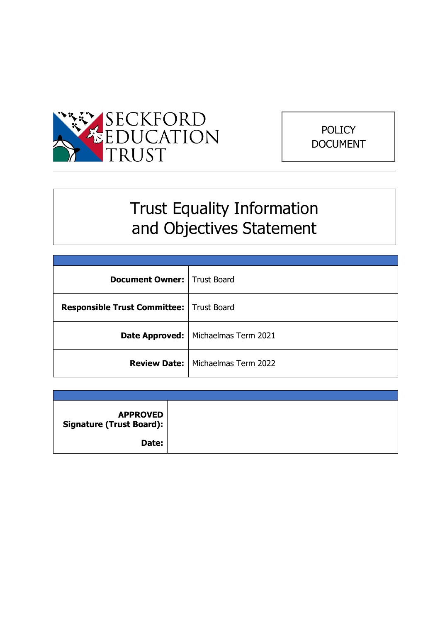



# Trust Equality Information and Objectives Statement

| <b>Document Owner:</b> Trust Board         |                                            |
|--------------------------------------------|--------------------------------------------|
| Responsible Trust Committee:   Trust Board |                                            |
|                                            | Date Approved:   Michaelmas Term 2021      |
|                                            | <b>Review Date:   Michaelmas Term 2022</b> |

| <b>APPROVED</b><br>Signature (Trust Board): |  |
|---------------------------------------------|--|
| Date:                                       |  |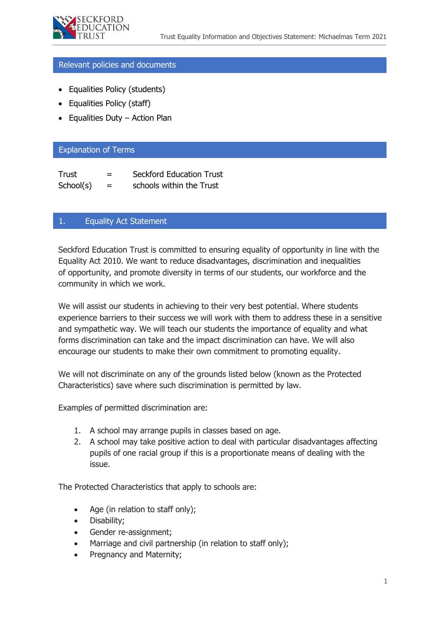

#### Relevant policies and documents

- Equalities Policy (students)
- Equalities Policy (staff)
- Equalities Duty Action Plan

#### Explanation of Terms

| Trust     | $=$ | <b>Seckford Education Trust</b> |
|-----------|-----|---------------------------------|
| School(s) | $=$ | schools within the Trust        |

# 1. Equality Act Statement

Seckford Education Trust is committed to ensuring equality of opportunity in line with the Equality Act 2010. We want to reduce disadvantages, discrimination and inequalities of opportunity, and promote diversity in terms of our students, our workforce and the community in which we work.

We will assist our students in achieving to their very best potential. Where students experience barriers to their success we will work with them to address these in a sensitive and sympathetic way. We will teach our students the importance of equality and what forms discrimination can take and the impact discrimination can have. We will also encourage our students to make their own commitment to promoting equality.

We will not discriminate on any of the grounds listed below (known as the Protected Characteristics) save where such discrimination is permitted by law.

Examples of permitted discrimination are:

- 1. A school may arrange pupils in classes based on age.
- 2. A school may take positive action to deal with particular disadvantages affecting pupils of one racial group if this is a proportionate means of dealing with the issue.

The Protected Characteristics that apply to schools are:

- Age (in relation to staff only);
- Disability;
- Gender re-assignment;
- Marriage and civil partnership (in relation to staff only);
- Pregnancy and Maternity;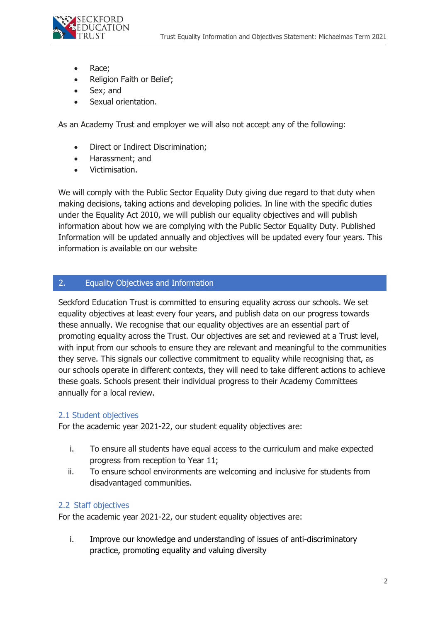

- Race;
- Religion Faith or Belief;
- Sex; and
- Sexual orientation.

As an Academy Trust and employer we will also not accept any of the following:

- Direct or Indirect Discrimination;
- Harassment; and
- Victimisation.

We will comply with the Public Sector Equality Duty giving due regard to that duty when making decisions, taking actions and developing policies. In line with the specific duties under the Equality Act 2010, we will publish our equality objectives and will publish information about how we are complying with the Public Sector Equality Duty. Published Information will be updated annually and objectives will be updated every four years. This information is available on our website

# 2. Equality Objectives and Information

Seckford Education Trust is committed to ensuring equality across our schools. We set equality objectives at least every four years, and publish data on our progress towards these annually. We recognise that our equality objectives are an essential part of promoting equality across the Trust. Our objectives are set and reviewed at a Trust level, with input from our schools to ensure they are relevant and meaningful to the communities they serve. This signals our collective commitment to equality while recognising that, as our schools operate in different contexts, they will need to take different actions to achieve these goals. Schools present their individual progress to their Academy Committees annually for a local review.

## 2.1 Student objectives

For the academic year 2021-22, our student equality objectives are:

- i. To ensure all students have equal access to the curriculum and make expected progress from reception to Year 11;
- ii. To ensure school environments are welcoming and inclusive for students from disadvantaged communities.

## 2.2 Staff objectives

For the academic year 2021-22, our student equality objectives are:

i. Improve our knowledge and understanding of issues of anti-discriminatory practice, promoting equality and valuing diversity